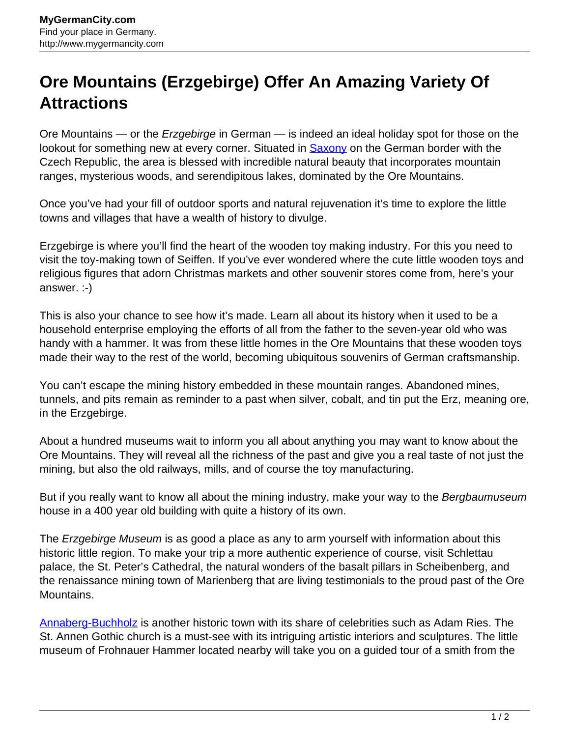## **Ore Mountains (Erzgebirge) Offer An Amazing Variety Of Attractions**

Ore Mountains — or the Erzgebirge in German — is indeed an ideal holiday spot for those on the lookout for something new at every corner. Situated in **Saxony** on the German border with the Czech Republic, the area is blessed with incredible natural beauty that incorporates mountain ranges, mysterious woods, and serendipitous lakes, dominated by the Ore Mountains.

Once you've had your fill of outdoor sports and natural rejuvenation it's time to explore the little towns and villages that have a wealth of history to divulge.

Erzgebirge is where you'll find the heart of the wooden toy making industry. For this you need to visit the toy-making town of Seiffen. If you've ever wondered where the cute little wooden toys and religious figures that adorn Christmas markets and other souvenir stores come from, here's your answer. :-)

This is also your chance to see how it's made. Learn all about its history when it used to be a household enterprise employing the efforts of all from the father to the seven-year old who was handy with a hammer. It was from these little homes in the Ore Mountains that these wooden toys made their way to the rest of the world, becoming ubiquitous souvenirs of German craftsmanship.

You can't escape the mining history embedded in these mountain ranges. Abandoned mines, tunnels, and pits remain as reminder to a past when silver, cobalt, and tin put the Erz, meaning ore, in the Erzgebirge.

About a hundred museums wait to inform you all about anything you may want to know about the Ore Mountains. They will reveal all the richness of the past and give you a real taste of not just the mining, but also the old railways, mills, and of course the toy manufacturing.

But if you really want to know all about the mining industry, make your way to the Bergbaumuseum house in a 400 year old building with quite a history of its own.

The *Erzgebirge Museum* is as good a place as any to arm yourself with information about this historic little region. To make your trip a more authentic experience of course, visit Schlettau palace, the St. Peter's Cathedral, the natural wonders of the basalt pillars in Scheibenberg, and the renaissance mining town of Marienberg that are living testimonials to the proud past of the Ore Mountains.

[Annaberg-Buchholz](http://www.mygermancity.com/annaberg-buchholz) is another historic town with its share of celebrities such as Adam Ries. The St. Annen Gothic church is a must-see with its intriguing artistic interiors and sculptures. The little museum of Frohnauer Hammer located nearby will take you on a guided tour of a smith from the